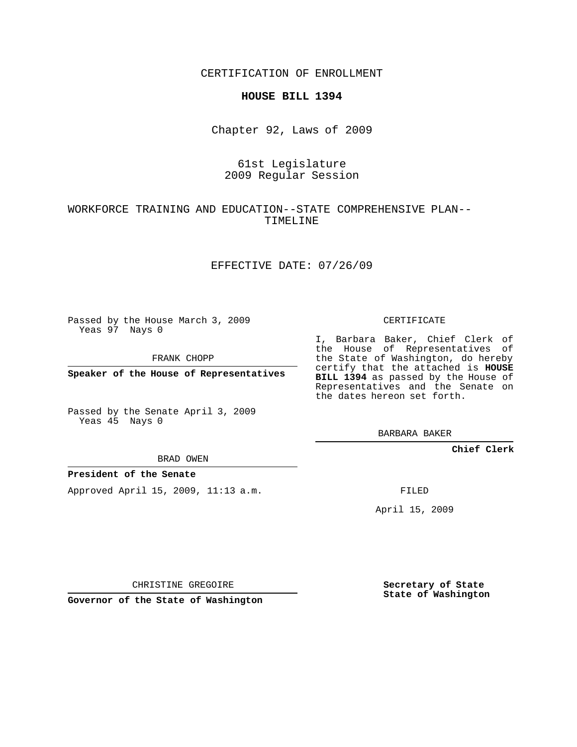CERTIFICATION OF ENROLLMENT

### **HOUSE BILL 1394**

Chapter 92, Laws of 2009

# 61st Legislature 2009 Regular Session

# WORKFORCE TRAINING AND EDUCATION--STATE COMPREHENSIVE PLAN-- TIMELINE

## EFFECTIVE DATE: 07/26/09

Passed by the House March 3, 2009 Yeas 97 Nays 0

FRANK CHOPP

**Speaker of the House of Representatives**

Passed by the Senate April 3, 2009 Yeas 45 Nays 0

BRAD OWEN

### **President of the Senate**

Approved April 15, 2009, 11:13 a.m.

CERTIFICATE

I, Barbara Baker, Chief Clerk of the House of Representatives of the State of Washington, do hereby certify that the attached is **HOUSE BILL 1394** as passed by the House of Representatives and the Senate on the dates hereon set forth.

BARBARA BAKER

**Chief Clerk**

FILED

April 15, 2009

CHRISTINE GREGOIRE

**Governor of the State of Washington**

**Secretary of State State of Washington**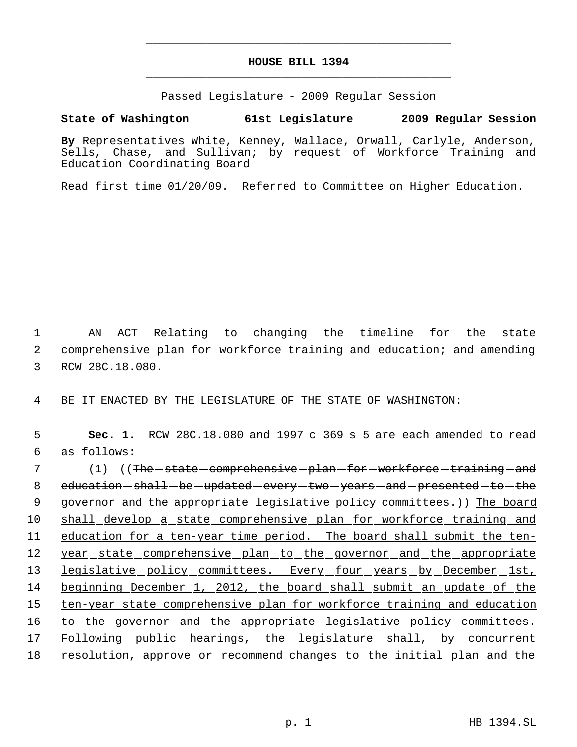# **HOUSE BILL 1394** \_\_\_\_\_\_\_\_\_\_\_\_\_\_\_\_\_\_\_\_\_\_\_\_\_\_\_\_\_\_\_\_\_\_\_\_\_\_\_\_\_\_\_\_\_

\_\_\_\_\_\_\_\_\_\_\_\_\_\_\_\_\_\_\_\_\_\_\_\_\_\_\_\_\_\_\_\_\_\_\_\_\_\_\_\_\_\_\_\_\_

Passed Legislature - 2009 Regular Session

**State of Washington 61st Legislature 2009 Regular Session**

**By** Representatives White, Kenney, Wallace, Orwall, Carlyle, Anderson, Sells, Chase, and Sullivan; by request of Workforce Training and Education Coordinating Board

Read first time 01/20/09. Referred to Committee on Higher Education.

 1 AN ACT Relating to changing the timeline for the state 2 comprehensive plan for workforce training and education; and amending 3 RCW 28C.18.080.

4 BE IT ENACTED BY THE LEGISLATURE OF THE STATE OF WASHINGTON:

 5 **Sec. 1.** RCW 28C.18.080 and 1997 c 369 s 5 are each amended to read 6 as follows:

7 (1) ((<del>The state comprehensive plan for workforce training and</del> 8 education - shall - be - updated - every - two - years - and - presented - to - the 9 governor and the appropriate legislative policy committees.)) The board 10 shall develop a state comprehensive plan for workforce training and 11 education for a ten-year time period. The board shall submit the ten-12 year\_state\_comprehensive\_plan\_to\_the\_governor\_and\_the\_appropriate 13 legislative policy committees. Every four years by December 1st, 14 beginning December 1, 2012, the board shall submit an update of the 15 ten-year state comprehensive plan for workforce training and education 16 to the governor and the appropriate legislative policy committees. 17 Following public hearings, the legislature shall, by concurrent 18 resolution, approve or recommend changes to the initial plan and the